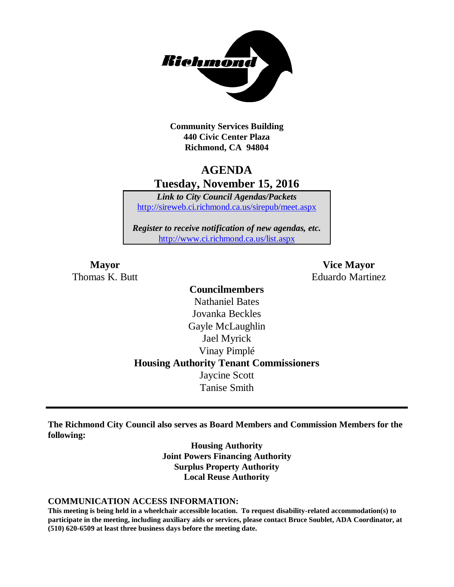

**Community Services Building 440 Civic Center Plaza Richmond, CA 94804**

# **AGENDA Tuesday, November 15, 2016**

*Link to City Council Agendas/Packets* <http://sireweb.ci.richmond.ca.us/sirepub/meet.aspx>

*Register to receive notification of new agendas, etc.* <http://www.ci.richmond.ca.us/list.aspx>

**Mayor Vice Mayor** Thomas K. Butt Eduardo Martinez

### **Councilmembers** Nathaniel Bates Jovanka Beckles Gayle McLaughlin Jael Myrick Vinay Pimplé **Housing Authority Tenant Commissioners** Jaycine Scott Tanise Smith

**The Richmond City Council also serves as Board Members and Commission Members for the following:**

> **Housing Authority Joint Powers Financing Authority Surplus Property Authority Local Reuse Authority**

#### **COMMUNICATION ACCESS INFORMATION:**

**This meeting is being held in a wheelchair accessible location. To request disability-related accommodation(s) to participate in the meeting, including auxiliary aids or services, please contact Bruce Soublet, ADA Coordinator, at (510) 620-6509 at least three business days before the meeting date.**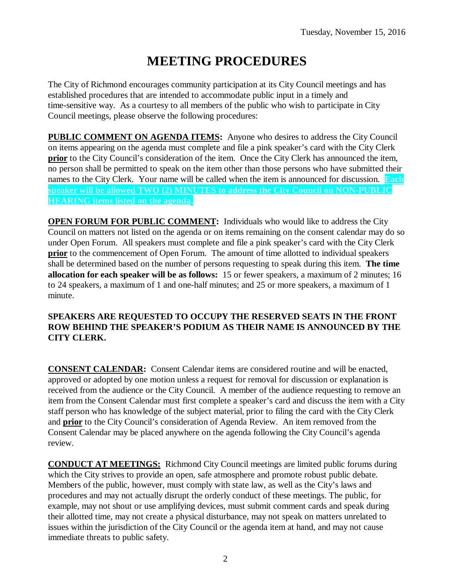# **MEETING PROCEDURES**

The City of Richmond encourages community participation at its City Council meetings and has established procedures that are intended to accommodate public input in a timely and time-sensitive way. As a courtesy to all members of the public who wish to participate in City Council meetings, please observe the following procedures:

**PUBLIC COMMENT ON AGENDA ITEMS:** Anyone who desires to address the City Council on items appearing on the agenda must complete and file a pink speaker's card with the City Clerk **prior** to the City Council's consideration of the item. Once the City Clerk has announced the item, no person shall be permitted to speak on the item other than those persons who have submitted their names to the City Clerk. Your name will be called when the item is announced for discussion. **Each speaker will be allowed TWO (2) MINUTES to address the City Council on NON-PUBLIC HEARING items listed on the agenda.**

**OPEN FORUM FOR PUBLIC COMMENT:** Individuals who would like to address the City Council on matters not listed on the agenda or on items remaining on the consent calendar may do so under Open Forum. All speakers must complete and file a pink speaker's card with the City Clerk **prior** to the commencement of Open Forum. The amount of time allotted to individual speakers shall be determined based on the number of persons requesting to speak during this item. **The time allocation for each speaker will be as follows:** 15 or fewer speakers, a maximum of 2 minutes; 16 to 24 speakers, a maximum of 1 and one-half minutes; and 25 or more speakers, a maximum of 1 minute.

#### **SPEAKERS ARE REQUESTED TO OCCUPY THE RESERVED SEATS IN THE FRONT ROW BEHIND THE SPEAKER'S PODIUM AS THEIR NAME IS ANNOUNCED BY THE CITY CLERK.**

**CONSENT CALENDAR:** Consent Calendar items are considered routine and will be enacted, approved or adopted by one motion unless a request for removal for discussion or explanation is received from the audience or the City Council. A member of the audience requesting to remove an item from the Consent Calendar must first complete a speaker's card and discuss the item with a City staff person who has knowledge of the subject material, prior to filing the card with the City Clerk and **prior** to the City Council's consideration of Agenda Review. An item removed from the Consent Calendar may be placed anywhere on the agenda following the City Council's agenda review.

**CONDUCT AT MEETINGS:** Richmond City Council meetings are limited public forums during which the City strives to provide an open, safe atmosphere and promote robust public debate. Members of the public, however, must comply with state law, as well as the City's laws and procedures and may not actually disrupt the orderly conduct of these meetings. The public, for example, may not shout or use amplifying devices, must submit comment cards and speak during their allotted time, may not create a physical disturbance, may not speak on matters unrelated to issues within the jurisdiction of the City Council or the agenda item at hand, and may not cause immediate threats to public safety.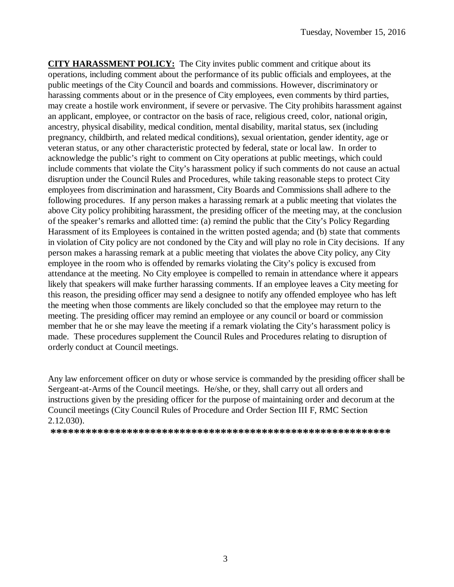**CITY HARASSMENT POLICY:** The City invites public comment and critique about its operations, including comment about the performance of its public officials and employees, at the public meetings of the City Council and boards and commissions. However, discriminatory or harassing comments about or in the presence of City employees, even comments by third parties, may create a hostile work environment, if severe or pervasive. The City prohibits harassment against an applicant, employee, or contractor on the basis of race, religious creed, color, national origin, ancestry, physical disability, medical condition, mental disability, marital status, sex (including pregnancy, childbirth, and related medical conditions), sexual orientation, gender identity, age or veteran status, or any other characteristic protected by federal, state or local law. In order to acknowledge the public's right to comment on City operations at public meetings, which could include comments that violate the City's harassment policy if such comments do not cause an actual disruption under the Council Rules and Procedures, while taking reasonable steps to protect City employees from discrimination and harassment, City Boards and Commissions shall adhere to the following procedures. If any person makes a harassing remark at a public meeting that violates the above City policy prohibiting harassment, the presiding officer of the meeting may, at the conclusion of the speaker's remarks and allotted time: (a) remind the public that the City's Policy Regarding Harassment of its Employees is contained in the written posted agenda; and (b) state that comments in violation of City policy are not condoned by the City and will play no role in City decisions. If any person makes a harassing remark at a public meeting that violates the above City policy, any City employee in the room who is offended by remarks violating the City's policy is excused from attendance at the meeting. No City employee is compelled to remain in attendance where it appears likely that speakers will make further harassing comments. If an employee leaves a City meeting for this reason, the presiding officer may send a designee to notify any offended employee who has left the meeting when those comments are likely concluded so that the employee may return to the meeting. The presiding officer may remind an employee or any council or board or commission member that he or she may leave the meeting if a remark violating the City's harassment policy is made. These procedures supplement the Council Rules and Procedures relating to disruption of orderly conduct at Council meetings.

Any law enforcement officer on duty or whose service is commanded by the presiding officer shall be Sergeant-at-Arms of the Council meetings. He/she, or they, shall carry out all orders and instructions given by the presiding officer for the purpose of maintaining order and decorum at the Council meetings (City Council Rules of Procedure and Order Section III F, RMC Section 2.12.030).

**\*\*\*\*\*\*\*\*\*\*\*\*\*\*\*\*\*\*\*\*\*\*\*\*\*\*\*\*\*\*\*\*\*\*\*\*\*\*\*\*\*\*\*\*\*\*\*\*\*\*\*\*\*\*\*\*\*\***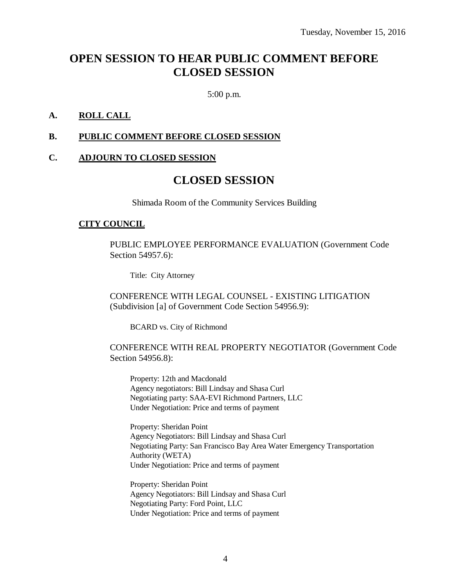# **OPEN SESSION TO HEAR PUBLIC COMMENT BEFORE CLOSED SESSION**

5:00 p.m.

#### **A. ROLL CALL**

#### **B. PUBLIC COMMENT BEFORE CLOSED SESSION**

#### **C. ADJOURN TO CLOSED SESSION**

### **CLOSED SESSION**

Shimada Room of the Community Services Building

#### **CITY COUNCIL**

PUBLIC EMPLOYEE PERFORMANCE EVALUATION (Government Code Section 54957.6):

Title: City Attorney

CONFERENCE WITH LEGAL COUNSEL - EXISTING LITIGATION (Subdivision [a] of Government Code Section 54956.9):

BCARD vs. City of Richmond

#### CONFERENCE WITH REAL PROPERTY NEGOTIATOR (Government Code Section 54956.8):

Property: 12th and Macdonald Agency negotiators: Bill Lindsay and Shasa Curl Negotiating party: SAA-EVI Richmond Partners, LLC Under Negotiation: Price and terms of payment

Property: Sheridan Point Agency Negotiators: Bill Lindsay and Shasa Curl Negotiating Party: San Francisco Bay Area Water Emergency Transportation Authority (WETA) Under Negotiation: Price and terms of payment

Property: Sheridan Point Agency Negotiators: Bill Lindsay and Shasa Curl Negotiating Party: Ford Point, LLC Under Negotiation: Price and terms of payment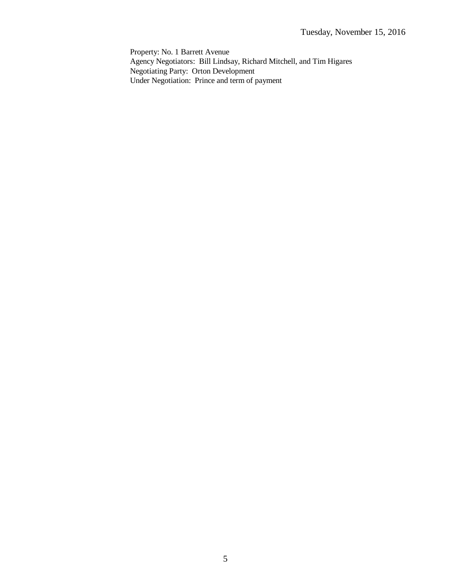Property: No. 1 Barrett Avenue Agency Negotiators: Bill Lindsay, Richard Mitchell, and Tim Higares Negotiating Party: Orton Development Under Negotiation: Prince and term of payment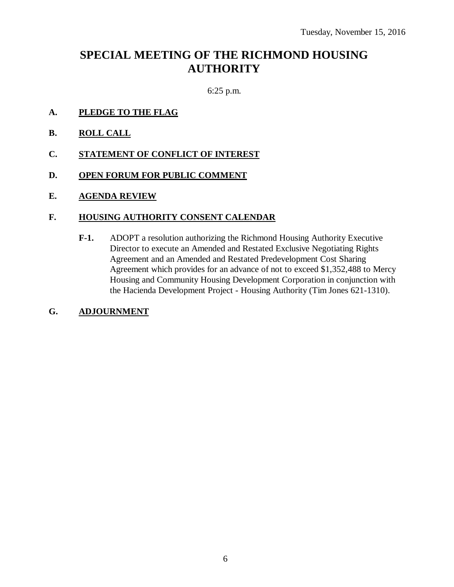# **SPECIAL MEETING OF THE RICHMOND HOUSING AUTHORITY**

6:25 p.m.

- **A. PLEDGE TO THE FLAG**
- **B. ROLL CALL**
- **C. STATEMENT OF CONFLICT OF INTEREST**
- **D. OPEN FORUM FOR PUBLIC COMMENT**
- **E. AGENDA REVIEW**

#### **F. HOUSING AUTHORITY CONSENT CALENDAR**

**F-1.** ADOPT a resolution authorizing the Richmond Housing Authority Executive Director to execute an Amended and Restated Exclusive Negotiating Rights Agreement and an Amended and Restated Predevelopment Cost Sharing Agreement which provides for an advance of not to exceed \$1,352,488 to Mercy Housing and Community Housing Development Corporation in conjunction with the Hacienda Development Project - Housing Authority (Tim Jones 621-1310).

#### **G. ADJOURNMENT**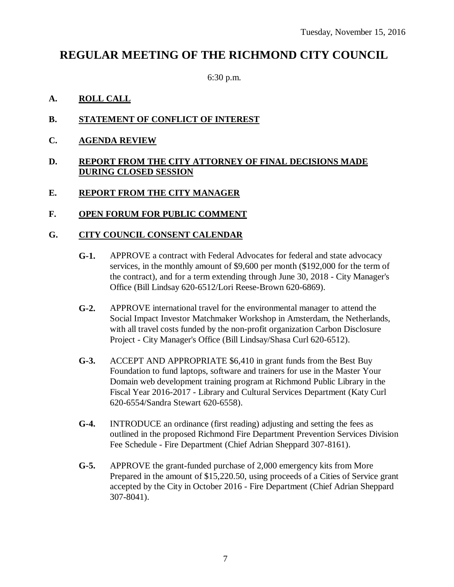## **REGULAR MEETING OF THE RICHMOND CITY COUNCIL**

6:30 p.m.

#### **A. ROLL CALL**

- **B. STATEMENT OF CONFLICT OF INTEREST**
- **C. AGENDA REVIEW**

#### **D. REPORT FROM THE CITY ATTORNEY OF FINAL DECISIONS MADE DURING CLOSED SESSION**

#### **E. REPORT FROM THE CITY MANAGER**

#### **F. OPEN FORUM FOR PUBLIC COMMENT**

#### **G. CITY COUNCIL CONSENT CALENDAR**

- **G-1.** APPROVE a contract with Federal Advocates for federal and state advocacy services, in the monthly amount of \$9,600 per month (\$192,000 for the term of the contract), and for a term extending through June 30, 2018 - City Manager's Office (Bill Lindsay 620-6512/Lori Reese-Brown 620-6869).
- **G-2.** APPROVE international travel for the environmental manager to attend the Social Impact Investor Matchmaker Workshop in Amsterdam, the Netherlands, with all travel costs funded by the non-profit organization Carbon Disclosure Project - City Manager's Office (Bill Lindsay/Shasa Curl 620-6512).
- **G-3.** ACCEPT AND APPROPRIATE \$6,410 in grant funds from the Best Buy Foundation to fund laptops, software and trainers for use in the Master Your Domain web development training program at Richmond Public Library in the Fiscal Year 2016-2017 - Library and Cultural Services Department (Katy Curl 620-6554/Sandra Stewart 620-6558).
- **G-4.** INTRODUCE an ordinance (first reading) adjusting and setting the fees as outlined in the proposed Richmond Fire Department Prevention Services Division Fee Schedule - Fire Department (Chief Adrian Sheppard 307-8161).
- **G-5.** APPROVE the grant-funded purchase of 2,000 emergency kits from More Prepared in the amount of \$15,220.50, using proceeds of a Cities of Service grant accepted by the City in October 2016 - Fire Department (Chief Adrian Sheppard 307-8041).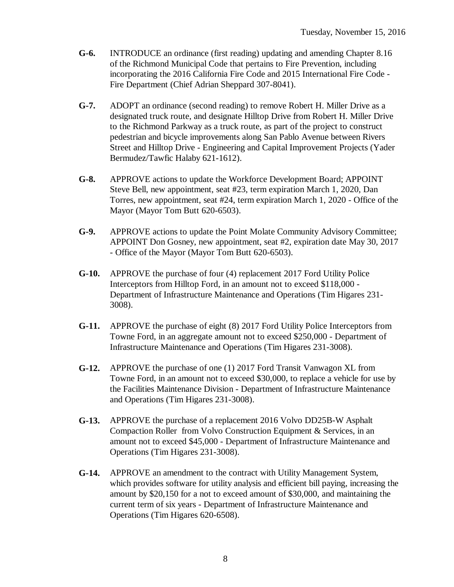- **G-6.** INTRODUCE an ordinance (first reading) updating and amending Chapter 8.16 of the Richmond Municipal Code that pertains to Fire Prevention, including incorporating the 2016 California Fire Code and 2015 International Fire Code - Fire Department (Chief Adrian Sheppard 307-8041).
- **G-7.** ADOPT an ordinance (second reading) to remove Robert H. Miller Drive as a designated truck route, and designate Hilltop Drive from Robert H. Miller Drive to the Richmond Parkway as a truck route, as part of the project to construct pedestrian and bicycle improvements along San Pablo Avenue between Rivers Street and Hilltop Drive - Engineering and Capital Improvement Projects (Yader Bermudez/Tawfic Halaby 621-1612).
- **G-8.** APPROVE actions to update the Workforce Development Board; APPOINT Steve Bell, new appointment, seat #23, term expiration March 1, 2020, Dan Torres, new appointment, seat #24, term expiration March 1, 2020 - Office of the Mayor (Mayor Tom Butt 620-6503).
- **G-9.** APPROVE actions to update the Point Molate Community Advisory Committee; APPOINT Don Gosney, new appointment, seat #2, expiration date May 30, 2017 - Office of the Mayor (Mayor Tom Butt 620-6503).
- **G-10.** APPROVE the purchase of four (4) replacement 2017 Ford Utility Police Interceptors from Hilltop Ford, in an amount not to exceed \$118,000 - Department of Infrastructure Maintenance and Operations (Tim Higares 231- 3008).
- **G-11.** APPROVE the purchase of eight (8) 2017 Ford Utility Police Interceptors from Towne Ford, in an aggregate amount not to exceed \$250,000 - Department of Infrastructure Maintenance and Operations (Tim Higares 231-3008).
- **G-12.** APPROVE the purchase of one (1) 2017 Ford Transit Vanwagon XL from Towne Ford, in an amount not to exceed \$30,000, to replace a vehicle for use by the Facilities Maintenance Division - Department of Infrastructure Maintenance and Operations (Tim Higares 231-3008).
- **G-13.** APPROVE the purchase of a replacement 2016 Volvo DD25B-W Asphalt Compaction Roller from Volvo Construction Equipment & Services, in an amount not to exceed \$45,000 - Department of Infrastructure Maintenance and Operations (Tim Higares 231-3008).
- **G-14.** APPROVE an amendment to the contract with Utility Management System, which provides software for utility analysis and efficient bill paying, increasing the amount by \$20,150 for a not to exceed amount of \$30,000, and maintaining the current term of six years - Department of Infrastructure Maintenance and Operations (Tim Higares 620-6508).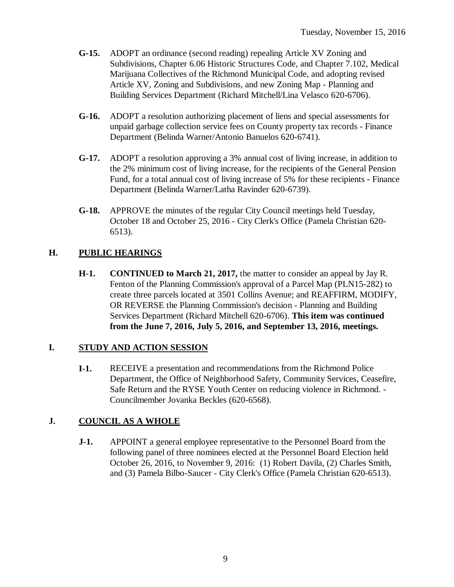- **G-15.** ADOPT an ordinance (second reading) repealing Article XV Zoning and Subdivisions, Chapter 6.06 Historic Structures Code, and Chapter 7.102, Medical Marijuana Collectives of the Richmond Municipal Code, and adopting revised Article XV, Zoning and Subdivisions, and new Zoning Map - Planning and Building Services Department (Richard Mitchell/Lina Velasco 620-6706).
- **G-16.** ADOPT a resolution authorizing placement of liens and special assessments for unpaid garbage collection service fees on County property tax records - Finance Department (Belinda Warner/Antonio Banuelos 620-6741).
- **G-17.** ADOPT a resolution approving a 3% annual cost of living increase, in addition to the 2% minimum cost of living increase, for the recipients of the General Pension Fund, for a total annual cost of living increase of 5% for these recipients - Finance Department (Belinda Warner/Latha Ravinder 620-6739).
- **G-18.** APPROVE the minutes of the regular City Council meetings held Tuesday, October 18 and October 25, 2016 - City Clerk's Office (Pamela Christian 620- 6513).

### **H. PUBLIC HEARINGS**

**H-1. CONTINUED to March 21, 2017,** the matter to consider an appeal by Jay R. Fenton of the Planning Commission's approval of a Parcel Map (PLN15-282) to create three parcels located at 3501 Collins Avenue; and REAFFIRM, MODIFY, OR REVERSE the Planning Commission's decision - Planning and Building Services Department (Richard Mitchell 620-6706). **This item was continued from the June 7, 2016, July 5, 2016, and September 13, 2016, meetings.**

#### **I. STUDY AND ACTION SESSION**

**I-1.** RECEIVE a presentation and recommendations from the Richmond Police Department, the Office of Neighborhood Safety, Community Services, Ceasefire, Safe Return and the RYSE Youth Center on reducing violence in Richmond. - Councilmember Jovanka Beckles (620-6568).

### **J. COUNCIL AS A WHOLE**

**J-1.** APPOINT a general employee representative to the Personnel Board from the following panel of three nominees elected at the Personnel Board Election held October 26, 2016, to November 9, 2016: (1) Robert Davila, (2) Charles Smith, and (3) Pamela Bilbo-Saucer - City Clerk's Office (Pamela Christian 620-6513).